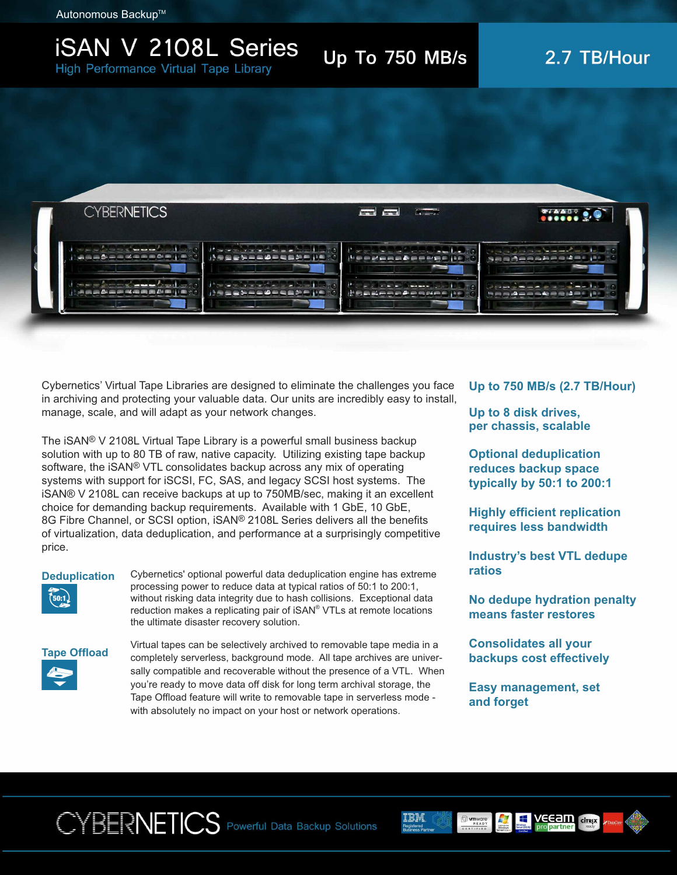Autonomous Backup<sup>™</sup>

### **ISAN V 2108L Series High Performance Virtual Tape Library**

Up To 750 MB/s

## 2.7 TB/Hour



Cybernetics' Virtual Tape Libraries are designed to eliminate the challenges you face in archiving and protecting your valuable data. Our units are incredibly easy to install, manage, scale, and will adapt as your network changes.

The iSAN® V 2108L Virtual Tape Library is a powerful small business backup solution with up to 80 TB of raw, native capacity. Utilizing existing tape backup software, the iSAN® VTL consolidates backup across any mix of operating systems with support for iSCSI, FC, SAS, and legacy SCSI host systems. The iSAN® V 2108L can receive backups at up to 750MB/sec, making it an excellent choice for demanding backup requirements. Available with 1 GbE, 10 GbE, 8G Fibre Channel, or SCSI option, iSAN® 2108L Series delivers all the benefits of virtualization, data deduplication, and performance at a surprisingly competitive price.

#### **Deduplication**



Cybernetics' optional powerful data deduplication engine has extreme processing power to reduce data at typical ratios of 50:1 to 200:1, without risking data integrity due to hash collisions. Exceptional data reduction makes a replicating pair of iSAN<sup>®</sup> VTLs at remote locations the ultimate disaster recovery solution.



Virtual tapes can be selectively archived to removable tape media in a completely serverless, background mode. All tape archives are universally compatible and recoverable without the presence of a VTL. When you're ready to move data off disk for long term archival storage, the Tape Offload feature will write to removable tape in serverless mode with absolutely no impact on your host or network operations.

#### **Up to 750 MB/s (2.7 TB/Hour)**

**Up to 8 disk drives, per chassis, scalable**

**Optional deduplication reduces backup space typically by 50:1 to 200:1**

**Highly efficient replication requires less bandwidth**

**Industry's best VTL dedupe ratios**

**No dedupe hydration penalty means faster restores**

**Consolidates all your backups cost effectively**

**Easy management, set and forget**